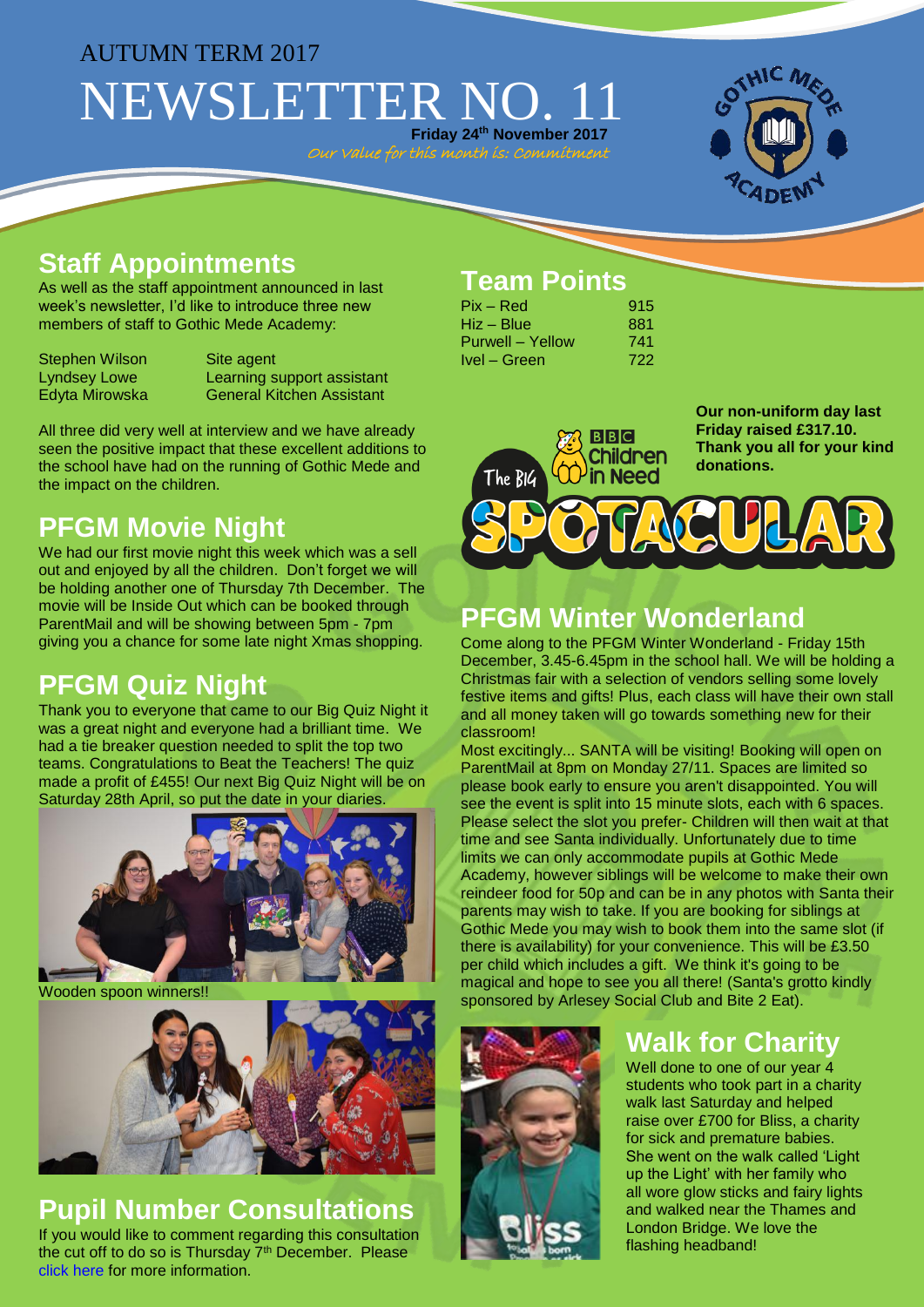#### AUTUMN TERM 2017

# NEWSLETTER NO. **Friday 24th November 2017**

Our Value for this month is: Commitment



### **Staff Appointments**

As well as the staff appointment announced in last week's newsletter, I'd like to introduce three new members of staff to Gothic Mede Academy:

Stephen Wilson Site agent<br>
Lyndsey Lowe Learning s

Learning support assistant Edyta Mirowska General Kitchen Assistant

All three did very well at interview and we have already seen the positive impact that these excellent additions to the school have had on the running of Gothic Mede and the impact on the children.

## **PFGM Movie Night**

We had our first movie night this week which was a sell out and enjoyed by all the children. Don't forget we will be holding another one of Thursday 7th December. The movie will be Inside Out which can be booked through ParentMail and will be showing between 5pm - 7pm giving you a chance for some late night Xmas shopping.

## **PFGM Quiz Night**

Thank you to everyone that came to our Big Quiz Night it was a great night and everyone had a brilliant time. We had a tie breaker question needed to split the top two teams. Congratulations to Beat the Teachers! The quiz made a profit of £455! Our next Big Quiz Night will be on Saturday 28th April, so put the date in your diaries.



Wooden spoon winners!!



#### **Pupil Number Consultations** If you would like to comment regarding this consultation the cut off to do so is Thursday 7th December. Please [click here](http://www.gothicmede.org.uk/docs/Letters/Consultation_Letter_November_2017_Parent_Carer.pdf) for more information.

## **Team Points**

| $Pix - Red$      | 915 |
|------------------|-----|
| Hiz – Blue       | 881 |
| Purwell – Yellow | 741 |
| Ivel - Green     | 722 |

 $BBC$ **Children** in Need The BIG

**Our non-uniform day last Friday raised £317.10. Thank you all for your kind donations.**



### **PFGM Winter Wonderland**

Come along to the PFGM Winter Wonderland - Friday 15th December, 3.45-6.45pm in the school hall. We will be holding a Christmas fair with a selection of vendors selling some lovely festive items and gifts! Plus, each class will have their own stall and all money taken will go towards something new for their classroom!

Most excitingly... SANTA will be visiting! Booking will open on ParentMail at 8pm on Monday 27/11. Spaces are limited so please book early to ensure you aren't disappointed. You will see the event is split into 15 minute slots, each with 6 spaces. Please select the slot you prefer- Children will then wait at that time and see Santa individually. Unfortunately due to time limits we can only accommodate pupils at Gothic Mede Academy, however siblings will be welcome to make their own reindeer food for 50p and can be in any photos with Santa their parents may wish to take. If you are booking for siblings at Gothic Mede you may wish to book them into the same slot (if there is availability) for your convenience. This will be £3.50 per child which includes a gift. We think it's going to be magical and hope to see you all there! (Santa's grotto kindly sponsored by Arlesey Social Club and Bite 2 Eat).



## **Walk for Charity**

Well done to one of our year 4 students who took part in a charity walk last Saturday and helped raise over £700 for Bliss, a charity for sick and premature babies. She went on the walk called 'Light up the Light' with her family who all wore glow sticks and fairy lights and walked near the Thames and London Bridge. We love the flashing headband!